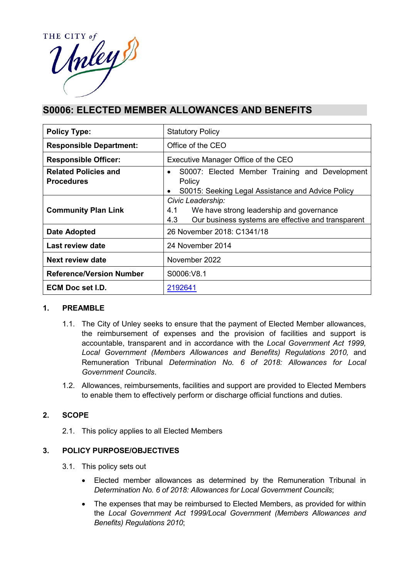

# **S0006: ELECTED MEMBER ALLOWANCES AND BENEFITS**

| <b>Policy Type:</b>                              | <b>Statutory Policy</b>                                                                                                           |  |  |
|--------------------------------------------------|-----------------------------------------------------------------------------------------------------------------------------------|--|--|
| <b>Responsible Department:</b>                   | Office of the CEO                                                                                                                 |  |  |
| <b>Responsible Officer:</b>                      | Executive Manager Office of the CEO                                                                                               |  |  |
| <b>Related Policies and</b><br><b>Procedures</b> | S0007: Elected Member Training and Development<br>$\bullet$<br>Policy<br>S0015: Seeking Legal Assistance and Advice Policy        |  |  |
| <b>Community Plan Link</b>                       | Civic Leadership:<br>We have strong leadership and governance<br>4.1<br>4.3<br>Our business systems are effective and transparent |  |  |
| Date Adopted                                     | 26 November 2018: C1341/18                                                                                                        |  |  |
| Last review date                                 | 24 November 2014                                                                                                                  |  |  |
| Next review date                                 | November 2022                                                                                                                     |  |  |
| <b>Reference/Version Number</b>                  | S0006:V8.1                                                                                                                        |  |  |
| <b>ECM Doc set I.D.</b>                          | 2192641                                                                                                                           |  |  |

### **1. PREAMBLE**

- 1.1. The City of Unley seeks to ensure that the payment of Elected Member allowances, the reimbursement of expenses and the provision of facilities and support is accountable, transparent and in accordance with the *Local Government Act 1999,*  Local Government (Members Allowances and Benefits) Regulations 2010, and Remuneration Tribunal *Determination No. 6 of 2018: Allowances for Local Government Councils*.
- 1.2. Allowances, reimbursements, facilities and support are provided to Elected Members to enable them to effectively perform or discharge official functions and duties.

### **2. SCOPE**

2.1. This policy applies to all Elected Members

### **3. POLICY PURPOSE/OBJECTIVES**

- 3.1. This policy sets out
	- Elected member allowances as determined by the Remuneration Tribunal in *Determination No. 6 of 2018: Allowances for Local Government Councils*;
	- The expenses that may be reimbursed to Elected Members, as provided for within the *Local Government Act 1999/Local Government (Members Allowances and Benefits) Regulations 2010*;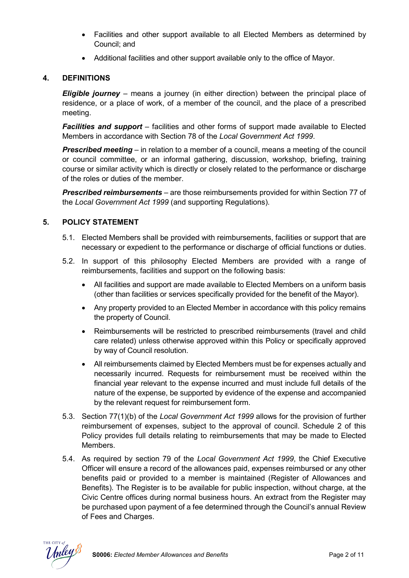- Facilities and other support available to all Elected Members as determined by Council; and
- Additional facilities and other support available only to the office of Mayor.

## **4. DEFINITIONS**

*Eligible journey* – means a journey (in either direction) between the principal place of residence, or a place of work, of a member of the council, and the place of a prescribed meeting.

*Facilities and support* – facilities and other forms of support made available to Elected Members in accordance with Section 78 of the *Local Government Act 1999*.

*Prescribed meeting* – in relation to a member of a council, means a meeting of the council or council committee, or an informal gathering, discussion, workshop, briefing, training course or similar activity which is directly or closely related to the performance or discharge of the roles or duties of the member.

*Prescribed reimbursements* – are those reimbursements provided for within Section 77 of the *Local Government Act 1999* (and supporting Regulations).

### **5. POLICY STATEMENT**

- 5.1. Elected Members shall be provided with reimbursements, facilities or support that are necessary or expedient to the performance or discharge of official functions or duties.
- 5.2. In support of this philosophy Elected Members are provided with a range of reimbursements, facilities and support on the following basis:
	- All facilities and support are made available to Elected Members on a uniform basis (other than facilities or services specifically provided for the benefit of the Mayor).
	- Any property provided to an Elected Member in accordance with this policy remains the property of Council.
	- Reimbursements will be restricted to prescribed reimbursements (travel and child care related) unless otherwise approved within this Policy or specifically approved by way of Council resolution.
	- All reimbursements claimed by Elected Members must be for expenses actually and necessarily incurred. Requests for reimbursement must be received within the financial year relevant to the expense incurred and must include full details of the nature of the expense, be supported by evidence of the expense and accompanied by the relevant request for reimbursement form.
- 5.3. Section 77(1)(b) of the *Local Government Act 1999* allows for the provision of further reimbursement of expenses, subject to the approval of council. Schedule 2 of this Policy provides full details relating to reimbursements that may be made to Elected Members.
- 5.4. As required by section 79 of the *Local Government Act 1999*, the Chief Executive Officer will ensure a record of the allowances paid, expenses reimbursed or any other benefits paid or provided to a member is maintained (Register of Allowances and Benefits). The Register is to be available for public inspection, without charge, at the Civic Centre offices during normal business hours. An extract from the Register may be purchased upon payment of a fee determined through the Council's annual Review of Fees and Charges.

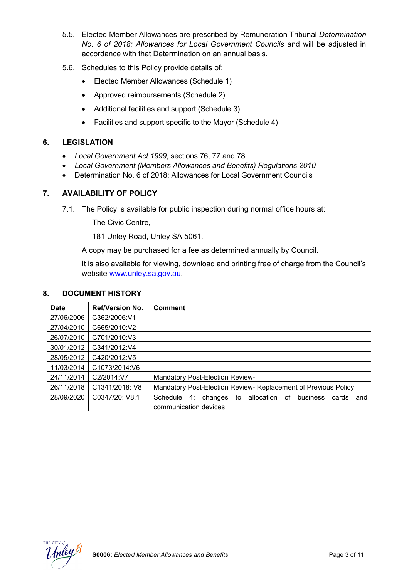- 5.5. Elected Member Allowances are prescribed by Remuneration Tribunal *Determination No. 6 of 2018: Allowances for Local Government Councils* and will be adjusted in accordance with that Determination on an annual basis.
- 5.6. Schedules to this Policy provide details of:
	- Elected Member Allowances (Schedule 1)
	- Approved reimbursements (Schedule 2)
	- Additional facilities and support (Schedule 3)
	- Facilities and support specific to the Mayor (Schedule 4)

### **6. LEGISLATION**

- *Local Government Act 1999*, sections 76, 77 and 78
- *Local Government (Members Allowances and Benefits) Regulations 2010*
- Determination No. 6 of 2018: Allowances for Local Government Councils

### **7. AVAILABILITY OF POLICY**

7.1. The Policy is available for public inspection during normal office hours at:

The Civic Centre,

181 Unley Road, Unley SA 5061.

A copy may be purchased for a fee as determined annually by Council.

It is also available for viewing, download and printing free of charge from the Council's website [www.unley.sa.gov.au.](file://uccfs1.unley.local/users$/tnorman/Templates%20and%20Forms/www.unley.sa.gov.au)

#### **8. DOCUMENT HISTORY**

| <b>Date</b> | <b>Ref/Version No.</b> | <b>Comment</b>                                                               |
|-------------|------------------------|------------------------------------------------------------------------------|
| 27/06/2006  | C362/2006:V1           |                                                                              |
| 27/04/2010  | C665/2010:V2           |                                                                              |
| 26/07/2010  | C701/2010:V3           |                                                                              |
| 30/01/2012  | C341/2012:V4           |                                                                              |
| 28/05/2012  | C420/2012:V5           |                                                                              |
| 11/03/2014  | C1073/2014:V6          |                                                                              |
| 24/11/2014  | C2/2014:V7             | <b>Mandatory Post-Election Review-</b>                                       |
| 26/11/2018  | C1341/2018: V8         | Mandatory Post-Election Review- Replacement of Previous Policy               |
| 28/09/2020  | C0347/20: V8.1         | allocation of<br>business<br>Schedule<br>4:<br>to<br>changes<br>cards<br>and |
|             |                        | communication devices                                                        |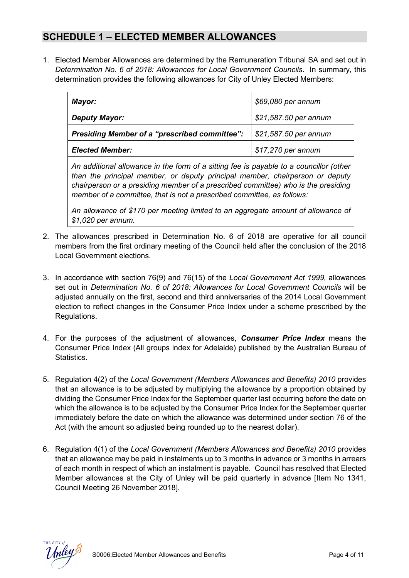# **SCHEDULE 1 – ELECTED MEMBER ALLOWANCES**

1. Elected Member Allowances are determined by the Remuneration Tribunal SA and set out in *Determination No. 6 of 2018: Allowances for Local Government Councils*. In summary, this determination provides the following allowances for City of Unley Elected Members:

| Mayor:                                        | \$69,080 per annum                  |
|-----------------------------------------------|-------------------------------------|
| <b>Deputy Mayor:</b>                          | \$21,587.50 per annum               |
| Presiding Member of a "prescribed committee": | $\frac{1}{2}$ \$21,587.50 per annum |
| <b>Elected Member:</b>                        | \$17,270 per annum                  |

*An additional allowance in the form of a sitting fee is payable to a councillor (other than the principal member, or deputy principal member, chairperson or deputy chairperson or a presiding member of a prescribed committee) who is the presiding member of a committee, that is not a prescribed committee, as follows:*

*An allowance of \$170 per meeting limited to an aggregate amount of allowance of \$1,020 per annum.*

- 2. The allowances prescribed in Determination No. 6 of 2018 are operative for all council members from the first ordinary meeting of the Council held after the conclusion of the 2018 Local Government elections.
- 3. In accordance with section 76(9) and 76(15) of the *Local Government Act 1999,* allowances set out in *Determination No. 6 of 2018: Allowances for Local Government Councils* will be adjusted annually on the first, second and third anniversaries of the 2014 Local Government election to reflect changes in the Consumer Price Index under a scheme prescribed by the Regulations.
- 4. For the purposes of the adjustment of allowances, *Consumer Price Index* means the Consumer Price Index (All groups index for Adelaide) published by the Australian Bureau of Statistics.
- 5. Regulation 4(2) of the *Local Government (Members Allowances and Benefits) 2010* provides that an allowance is to be adjusted by multiplying the allowance by a proportion obtained by dividing the Consumer Price Index for the September quarter last occurring before the date on which the allowance is to be adjusted by the Consumer Price Index for the September quarter immediately before the date on which the allowance was determined under section 76 of the Act (with the amount so adjusted being rounded up to the nearest dollar).
- 6. Regulation 4(1) of the *Local Government (Members Allowances and Benefits) 2010* provides that an allowance may be paid in instalments up to 3 months in advance or 3 months in arrears of each month in respect of which an instalment is payable. Council has resolved that Elected Member allowances at the City of Unley will be paid quarterly in advance [Item No 1341, Council Meeting 26 November 2018].

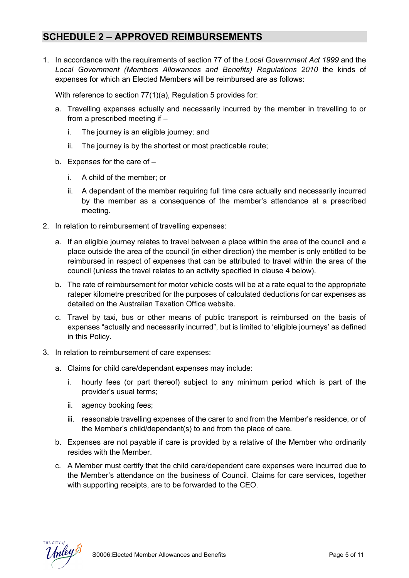# **SCHEDULE 2 – APPROVED REIMBURSEMENTS**

1. In accordance with the requirements of section 77 of the *Local Government Act 1999* and the *Local Government (Members Allowances and Benefits) Regulations 2010* the kinds of expenses for which an Elected Members will be reimbursed are as follows:

With reference to section 77(1)(a), Regulation 5 provides for:

- a. Travelling expenses actually and necessarily incurred by the member in travelling to or from a prescribed meeting if –
	- i. The journey is an eligible journey; and
	- ii. The journey is by the shortest or most practicable route;
- b. Expenses for the care of
	- i. A child of the member; or
	- ii. A dependant of the member requiring full time care actually and necessarily incurred by the member as a consequence of the member's attendance at a prescribed meeting.
- 2. In relation to reimbursement of travelling expenses:
	- a. If an eligible journey relates to travel between a place within the area of the council and a place outside the area of the council (in either direction) the member is only entitled to be reimbursed in respect of expenses that can be attributed to travel within the area of the council (unless the travel relates to an activity specified in clause 4 below).
	- b. The rate of reimbursement for motor vehicle costs will be at a rate equal to the appropriate rateper kilometre prescribed for the purposes of calculated deductions for car expenses as detailed on the Australian Taxation Office website.
	- c. Travel by taxi, bus or other means of public transport is reimbursed on the basis of expenses "actually and necessarily incurred", but is limited to 'eligible journeys' as defined in this Policy.
- 3. In relation to reimbursement of care expenses:
	- a. Claims for child care/dependant expenses may include:
		- i. hourly fees (or part thereof) subject to any minimum period which is part of the provider's usual terms;
		- ii. agency booking fees;
		- iii. reasonable travelling expenses of the carer to and from the Member's residence, or of the Member's child/dependant(s) to and from the place of care.
	- b. Expenses are not payable if care is provided by a relative of the Member who ordinarily resides with the Member.
	- c. A Member must certify that the child care/dependent care expenses were incurred due to the Member's attendance on the business of Council. Claims for care services, together with supporting receipts, are to be forwarded to the CEO.

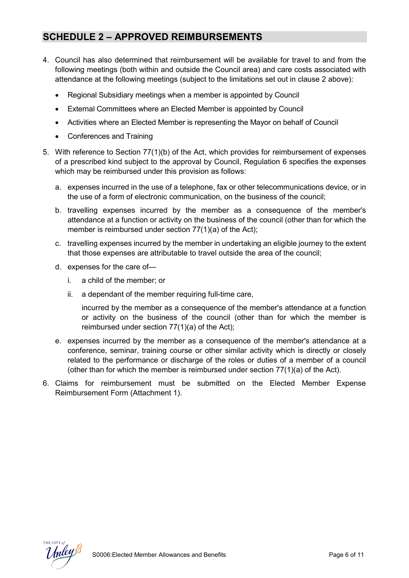# **SCHEDULE 2 – APPROVED REIMBURSEMENTS**

- 4. Council has also determined that reimbursement will be available for travel to and from the following meetings (both within and outside the Council area) and care costs associated with attendance at the following meetings (subject to the limitations set out in clause 2 above):
	- Regional Subsidiary meetings when a member is appointed by Council
	- External Committees where an Elected Member is appointed by Council
	- Activities where an Elected Member is representing the Mayor on behalf of Council
	- Conferences and Training
- 5. With reference to Section 77(1)(b) of the Act, which provides for reimbursement of expenses of a prescribed kind subject to the approval by Council, Regulation 6 specifies the expenses which may be reimbursed under this provision as follows:
	- a. expenses incurred in the use of a telephone, fax or other telecommunications device, or in the use of a form of electronic communication, on the business of the council;
	- b. travelling expenses incurred by the member as a consequence of the member's attendance at a function or activity on the business of the council (other than for which the member is reimbursed under section 77(1)(a) of the Act);
	- c. travelling expenses incurred by the member in undertaking an eligible journey to the extent that those expenses are attributable to travel outside the area of the council;
	- d. expenses for the care of
		- i. a child of the member; or
		- ii. a dependant of the member requiring full-time care,

incurred by the member as a consequence of the member's attendance at a function or activity on the business of the council (other than for which the member is reimbursed under section 77(1)(a) of the Act);

- e. expenses incurred by the member as a consequence of the member's attendance at a conference, seminar, training course or other similar activity which is directly or closely related to the performance or discharge of the roles or duties of a member of a council (other than for which the member is reimbursed under section  $77(1)(a)$  of the Act).
- 6. Claims for reimbursement must be submitted on the Elected Member Expense Reimbursement Form (Attachment 1).

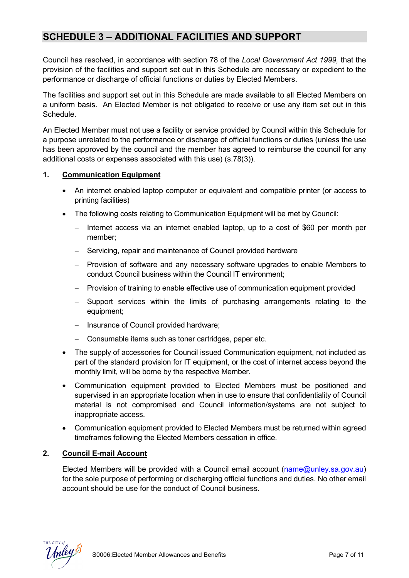# **SCHEDULE 3 – ADDITIONAL FACILITIES AND SUPPORT**

Council has resolved, in accordance with section 78 of the *Local Government Act 1999,* that the provision of the facilities and support set out in this Schedule are necessary or expedient to the performance or discharge of official functions or duties by Elected Members.

The facilities and support set out in this Schedule are made available to all Elected Members on a uniform basis. An Elected Member is not obligated to receive or use any item set out in this **Schedule** 

An Elected Member must not use a facility or service provided by Council within this Schedule for a purpose unrelated to the performance or discharge of official functions or duties (unless the use has been approved by the council and the member has agreed to reimburse the council for any additional costs or expenses associated with this use) (s.78(3)).

### **1. Communication Equipment**

- An internet enabled laptop computer or equivalent and compatible printer (or access to printing facilities)
- The following costs relating to Communication Equipment will be met by Council:
	- − Internet access via an internet enabled laptop, up to a cost of \$60 per month per member;
	- Servicing, repair and maintenance of Council provided hardware
	- − Provision of software and any necessary software upgrades to enable Members to conduct Council business within the Council IT environment;
	- − Provision of training to enable effective use of communication equipment provided
	- Support services within the limits of purchasing arrangements relating to the equipment;
	- − Insurance of Council provided hardware;
	- − Consumable items such as toner cartridges, paper etc.
- The supply of accessories for Council issued Communication equipment, not included as part of the standard provision for IT equipment, or the cost of internet access beyond the monthly limit, will be borne by the respective Member.
- Communication equipment provided to Elected Members must be positioned and supervised in an appropriate location when in use to ensure that confidentiality of Council material is not compromised and Council information/systems are not subject to inappropriate access.
- Communication equipment provided to Elected Members must be returned within agreed timeframes following the Elected Members cessation in office.

### **2. Council E-mail Account**

Elected Members will be provided with a Council email account [\(name@unley.sa.gov.au\)](mailto:name@unley.sa.gov.au) for the sole purpose of performing or discharging official functions and duties. No other email account should be use for the conduct of Council business.

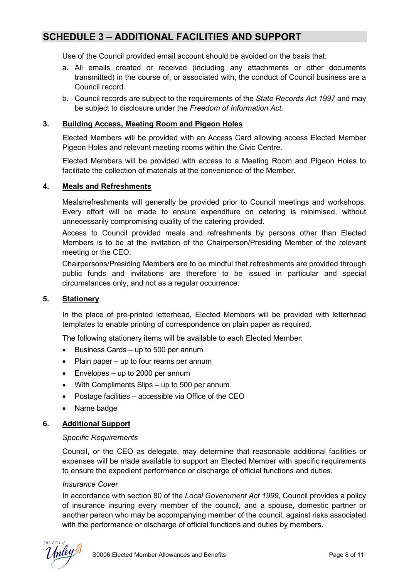# **SCHEDULE 3 – ADDITIONAL FACILITIES AND SUPPORT**

Use of the Council provided email account should be avoided on the basis that:

- a. All emails created or received (including any attachments or other documents transmitted) in the course of, or associated with, the conduct of Council business are a Council record.
- b. Council records are subject to the requirements of the *State Records Act 1997* and may be subject to disclosure under the *Freedom of Information Act.*

### **3. Building Access, Meeting Room and Pigeon Holes**

Elected Members will be provided with an Access Card allowing access Elected Member Pigeon Holes and relevant meeting rooms within the Civic Centre.

Elected Members will be provided with access to a Meeting Room and Pigeon Holes to facilitate the collection of materials at the convenience of the Member.

### **4. Meals and Refreshments**

Meals/refreshments will generally be provided prior to Council meetings and workshops. Every effort will be made to ensure expenditure on catering is minimised, without unnecessarily compromising quality of the catering provided.

Access to Council provided meals and refreshments by persons other than Elected Members is to be at the invitation of the Chairperson/Presiding Member of the relevant meeting or the CEO.

Chairpersons/Presiding Members are to be mindful that refreshments are provided through public funds and invitations are therefore to be issued in particular and special circumstances only, and not as a regular occurrence.

### **5. Stationery**

In the place of pre-printed letterhead, Elected Members will be provided with letterhead templates to enable printing of correspondence on plain paper as required.

The following stationery items will be available to each Elected Member:

- Business Cards up to 500 per annum
- Plain paper up to four reams per annum
- Envelopes up to 2000 per annum
- With Compliments Slips up to 500 per annum
- Postage facilities accessible via Office of the CEO
- Name badge

### **6. Additional Support**

### *Specific Requirements*

Council, or the CEO as delegate, may determine that reasonable additional facilities or expenses will be made available to support an Elected Member with specific requirements to ensure the expedient performance or discharge of official functions and duties.

### *Insurance Cover*

In accordance with section 80 of the *Local Government Act 1999*, Council provides a policy of insurance insuring every member of the council, and a spouse, domestic partner or another person who may be accompanying member of the council, against risks associated with the performance or discharge of official functions and duties by members.

THE CITY a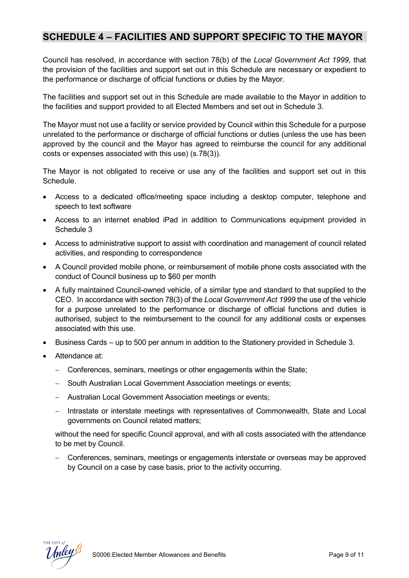# **SCHEDULE 4 – FACILITIES AND SUPPORT SPECIFIC TO THE MAYOR**

Council has resolved, in accordance with section 78(b) of the *Local Government Act 1999,* that the provision of the facilities and support set out in this Schedule are necessary or expedient to the performance or discharge of official functions or duties by the Mayor.

The facilities and support set out in this Schedule are made available to the Mayor in addition to the facilities and support provided to all Elected Members and set out in Schedule 3.

The Mayor must not use a facility or service provided by Council within this Schedule for a purpose unrelated to the performance or discharge of official functions or duties (unless the use has been approved by the council and the Mayor has agreed to reimburse the council for any additional costs or expenses associated with this use) (s.78(3)).

The Mayor is not obligated to receive or use any of the facilities and support set out in this Schedule.

- Access to a dedicated office/meeting space including a desktop computer, telephone and speech to text software
- Access to an internet enabled iPad in addition to Communications equipment provided in Schedule 3
- Access to administrative support to assist with coordination and management of council related activities, and responding to correspondence
- A Council provided mobile phone, or reimbursement of mobile phone costs associated with the conduct of Council business up to \$60 per month
- A fully maintained Council-owned vehicle, of a similar type and standard to that supplied to the CEO. In accordance with section 78(3) of the *Local Government Act 1999* the use of the vehicle for a purpose unrelated to the performance or discharge of official functions and duties is authorised, subject to the reimbursement to the council for any additional costs or expenses associated with this use.
- Business Cards up to 500 per annum in addition to the Stationery provided in Schedule 3.
- Attendance at:
	- − Conferences, seminars, meetings or other engagements within the State;
	- − South Australian Local Government Association meetings or events;
	- − Australian Local Government Association meetings or events;
	- − Intrastate or interstate meetings with representatives of Commonwealth, State and Local governments on Council related matters;

without the need for specific Council approval, and with all costs associated with the attendance to be met by Council.

− Conferences, seminars, meetings or engagements interstate or overseas may be approved by Council on a case by case basis, prior to the activity occurring.

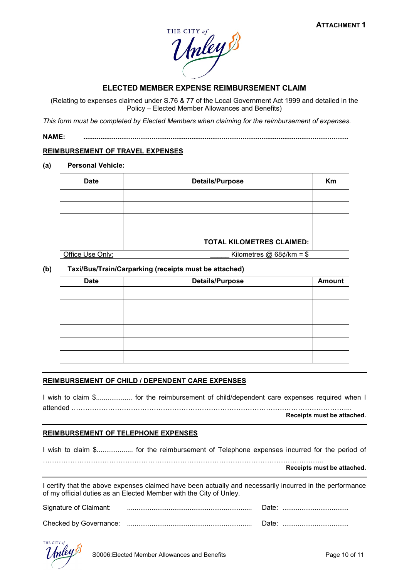

### **ELECTED MEMBER EXPENSE REIMBURSEMENT CLAIM**

(Relating to expenses claimed under S.76 & 77 of the Local Government Act 1999 and detailed in the Policy – Elected Member Allowances and Benefits)

*This form must be completed by Elected Members when claiming for the reimbursement of expenses.*

**NAME: ............................................................................................................................................**

#### **REIMBURSEMENT OF TRAVEL EXPENSES**

**(a) Personal Vehicle:**

| <b>Date</b>      | <b>Details/Purpose</b>           |  |  |
|------------------|----------------------------------|--|--|
|                  |                                  |  |  |
|                  |                                  |  |  |
|                  |                                  |  |  |
|                  |                                  |  |  |
|                  | <b>TOTAL KILOMETRES CLAIMED:</b> |  |  |
| Office Use Only: | Kilometres $@68¢$ /km = \$       |  |  |

#### **(b) Taxi/Bus/Train/Carparking (receipts must be attached)**

| <b>Date</b> | <b>Details/Purpose</b> | <b>Amount</b> |
|-------------|------------------------|---------------|
|             |                        |               |
|             |                        |               |
|             |                        |               |
|             |                        |               |
|             |                        |               |
|             |                        |               |

#### **REIMBURSEMENT OF CHILD / DEPENDENT CARE EXPENSES**

I wish to claim \$................... for the reimbursement of child/dependent care expenses required when I attended …………………………………………………………………………………………………………...

**Receipts must be attached.**

#### **REIMBURSEMENT OF TELEPHONE EXPENSES**

I wish to claim \$................... for the reimbursement of Telephone expenses incurred for the period of

…………………………………………………………………………………………………………... **Receipts must be attached.**

I certify that the above expenses claimed have been actually and necessarily incurred in the performance of my official duties as an Elected Member with the City of Unley.

| Signature of Claimant: |  |  |
|------------------------|--|--|
| Checked by Governance: |  |  |

THE CITY of